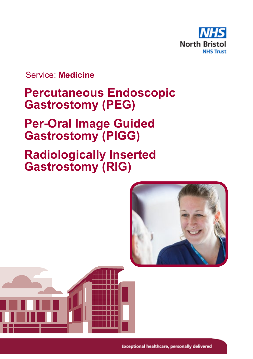

Service: **Medicine**

# **Percutaneous Endoscopic Gastrostomy (PEG)**

# **Per-Oral Image Guided Gastrostomy (PIGG)**

# **Radiologically Inserted Gastrostomy (RIG)**

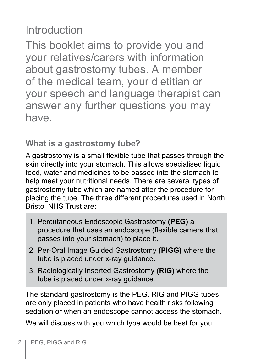# Introduction

This booklet aims to provide you and your relatives/carers with information about gastrostomy tubes. A member of the medical team, your dietitian or your speech and language therapist can answer any further questions you may have.

**What is a gastrostomy tube?**

A gastrostomy is a small flexible tube that passes through the skin directly into your stomach. This allows specialised liquid feed, water and medicines to be passed into the stomach to help meet your nutritional needs. There are several types of gastrostomy tube which are named after the procedure for placing the tube. The three different procedures used in North Bristol NHS Trust are:

- 1. Percutaneous Endoscopic Gastrostomy **(PEG)** a procedure that uses an endoscope (flexible camera that passes into your stomach) to place it.
- 2. Per-Oral Image Guided Gastrostomy **(PIGG)** where the tube is placed under x-ray guidance.
- 3. Radiologically Inserted Gastrostomy **(RIG)** where the tube is placed under x-ray guidance.

The standard gastrostomy is the PEG. RIG and PIGG tubes are only placed in patients who have health risks following sedation or when an endoscope cannot access the stomach.

We will discuss with you which type would be best for you.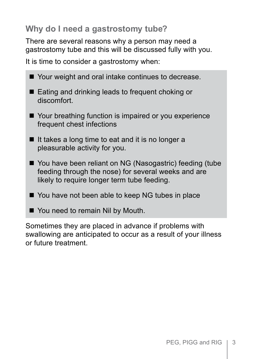# **Why do I need a gastrostomy tube?**

There are several reasons why a person may need a gastrostomy tube and this will be discussed fully with you.

It is time to consider a gastrostomy when:

| ■ Your weight and oral intake continues to decrease.                                                                                                            |
|-----------------------------------------------------------------------------------------------------------------------------------------------------------------|
| ■ Eating and drinking leads to frequent choking or<br>discomfort.                                                                                               |
| ■ Your breathing function is impaired or you experience<br>frequent chest infections                                                                            |
| If it takes a long time to eat and it is no longer a<br>pleasurable activity for you.                                                                           |
| ■ You have been reliant on NG (Nasogastric) feeding (tube<br>feeding through the nose) for several weeks and are<br>likely to require longer term tube feeding. |
| ■ You have not been able to keep NG tubes in place                                                                                                              |
| ■ You need to remain Nil by Mouth.                                                                                                                              |

Sometimes they are placed in advance if problems with swallowing are anticipated to occur as a result of your illness or future treatment.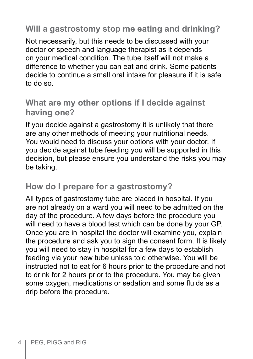## **Will a gastrostomy stop me eating and drinking?**

Not necessarily, but this needs to be discussed with your doctor or speech and language therapist as it depends on your medical condition. The tube itself will not make a difference to whether you can eat and drink. Some patients decide to continue a small oral intake for pleasure if it is safe to do so.

## **What are my other options if I decide against having one?**

If you decide against a gastrostomy it is unlikely that there are any other methods of meeting your nutritional needs. You would need to discuss your options with your doctor. If you decide against tube feeding you will be supported in this decision, but please ensure you understand the risks you may be taking.

## **How do I prepare for a gastrostomy?**

All types of gastrostomy tube are placed in hospital. If you are not already on a ward you will need to be admitted on the day of the procedure. A few days before the procedure you will need to have a blood test which can be done by your GP. Once you are in hospital the doctor will examine you, explain the procedure and ask you to sign the consent form. It is likely you will need to stay in hospital for a few days to establish feeding via your new tube unless told otherwise. You will be instructed not to eat for 6 hours prior to the procedure and not to drink for 2 hours prior to the procedure. You may be given some oxygen, medications or sedation and some fluids as a drip before the procedure.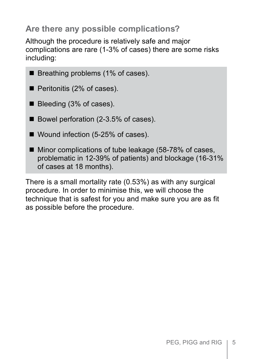# **Are there any possible complications?**

Although the procedure is relatively safe and major complications are rare (1-3% of cases) there are some risks including:

 $\blacksquare$  Breathing problems (1% of cases).

 $\blacksquare$  Peritonitis (2% of cases).

■ Bleeding (3% of cases).

- Bowel perforation (2-3.5% of cases).
- $\blacksquare$  Wound infection (5-25% of cases).
- $\blacksquare$  Minor complications of tube leakage (58-78% of cases, problematic in 12-39% of patients) and blockage (16-31% of cases at 18 months).

There is a small mortality rate (0.53%) as with any surgical procedure. In order to minimise this, we will choose the technique that is safest for you and make sure you are as fit as possible before the procedure.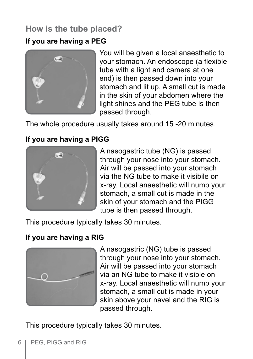# **How is the tube placed?**

#### **If you are having a PEG**



You will be given a local anaesthetic to your stomach. An endoscope (a flexible tube with a light and camera at one end) is then passed down into your stomach and lit up. A small cut is made in the skin of your abdomen where the light shines and the PEG tube is then passed through.

The whole procedure usually takes around 15 -20 minutes.

#### **If you are having a PIGG**



A nasogastric tube (NG) is passed through your nose into your stomach. Air will be passed into your stomach via the NG tube to make it visibile on x-ray. Local anaesthetic will numb your stomach, a small cut is made in the skin of your stomach and the PIGG tube is then passed through.

This procedure typically takes 30 minutes.

#### **If you are having a RIG**



A nasogastric (NG) tube is passed through your nose into your stomach. Air will be passed into your stomach via an NG tube to make it visible on x-ray. Local anaesthetic will numb your stomach, a small cut is made in your skin above your navel and the RIG is passed through.

This procedure typically takes 30 minutes.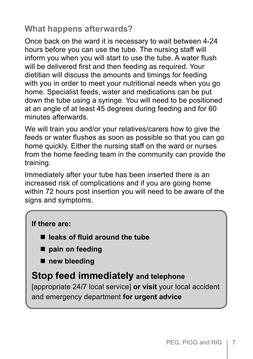# **What happens afterwards?**

Once back on the ward it is necessary to wait between 4-24 hours before you can use the tube. The nursing staff will inform you when you will start to use the tube. A water flush will be delivered first and then feeding as required. Your dietitian will discuss the amounts and timings for feeding with you in order to meet your nutritional needs when you go home. Specialist feeds, water and medications can be put down the tube using a syringe. You will need to be positioned at an angle of at least 45 degrees during feeding and for 60 minutes afterwards.

We will train you and/or your relatives/carers how to give the feeds or water flushes as soon as possible so that you can go home quickly. Either the nursing staff on the ward or nurses from the home feeding team in the community can provide the training.

Immediately after your tube has been inserted there is an increased risk of complications and if you are going home within 72 hours post insertion you will need to be aware of the signs and symptoms.

#### **If there are:**

- leaks of fluid around the tube
- pain on feeding
- $\blacksquare$  new bleeding

## **Stop feed immediately and telephone**

[appropriate 24/7 local service] **or visit** your local accident and emergency department **for urgent advice**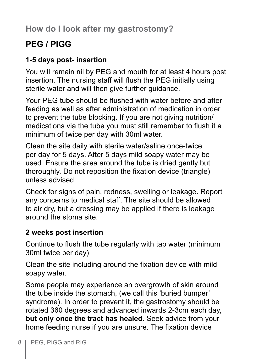**How do I look after my gastrostomy?**

# **PEG / PIGG**

### **1-5 days post- insertion**

You will remain nil by PEG and mouth for at least 4 hours post insertion. The nursing staff will flush the PEG initially using sterile water and will then give further guidance.

Your PEG tube should be flushed with water before and after feeding as well as after administration of medication in order to prevent the tube blocking. If you are not giving nutrition/ medications via the tube you must still remember to flush it a minimum of twice per day with 30ml water.

Clean the site daily with sterile water/saline once-twice per day for 5 days. After 5 days mild soapy water may be used. Ensure the area around the tube is dried gently but thoroughly. Do not reposition the fixation device (triangle) unless advised.

Check for signs of pain, redness, swelling or leakage. Report any concerns to medical staff. The site should be allowed to air dry, but a dressing may be applied if there is leakage around the stoma site.

#### **2 weeks post insertion**

Continue to flush the tube regularly with tap water (minimum 30ml twice per day)

Clean the site including around the fixation device with mild soapy water.

Some people may experience an overgrowth of skin around the tube inside the stomach, (we call this 'buried bumper' syndrome). In order to prevent it, the gastrostomy should be rotated 360 degrees and advanced inwards 2-3cm each day, **but only once the tract has healed**. Seek advice from your home feeding nurse if you are unsure. The fixation device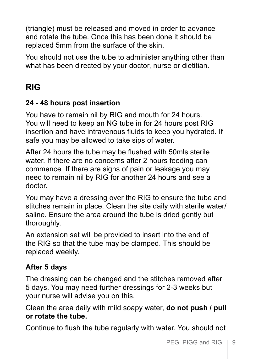(triangle) must be released and moved in order to advance and rotate the tube. Once this has been done it should be replaced 5mm from the surface of the skin.

You should not use the tube to administer anything other than what has been directed by your doctor, nurse or dietitian.

# **RIG**

#### **24 - 48 hours post insertion**

You have to remain nil by RIG and mouth for 24 hours. You will need to keep an NG tube in for 24 hours post RIG insertion and have intravenous fluids to keep you hydrated. If safe you may be allowed to take sips of water.

After 24 hours the tube may be flushed with 50mls sterile water. If there are no concerns after 2 hours feeding can commence. If there are signs of pain or leakage you may need to remain nil by RIG for another 24 hours and see a doctor.

You may have a dressing over the RIG to ensure the tube and stitches remain in place. Clean the site daily with sterile water/ saline. Ensure the area around the tube is dried gently but thoroughly.

An extension set will be provided to insert into the end of the RIG so that the tube may be clamped. This should be replaced weekly.

### **After 5 days**

The dressing can be changed and the stitches removed after 5 days. You may need further dressings for 2-3 weeks but your nurse will advise you on this.

Clean the area daily with mild soapy water, **do not push / pull or rotate the tube.**

Continue to flush the tube regularly with water. You should not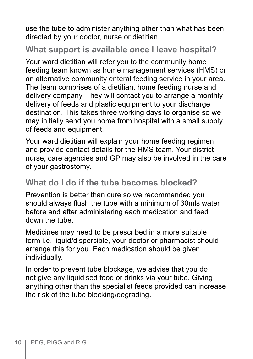use the tube to administer anything other than what has been directed by your doctor, nurse or dietitian.

## **What support is available once I leave hospital?**

Your ward dietitian will refer you to the community home feeding team known as home management services (HMS) or an alternative community enteral feeding service in your area. The team comprises of a dietitian, home feeding nurse and delivery company. They will contact you to arrange a monthly delivery of feeds and plastic equipment to your discharge destination. This takes three working days to organise so we may initially send you home from hospital with a small supply of feeds and equipment.

Your ward dietitian will explain your home feeding regimen and provide contact details for the HMS team. Your district nurse, care agencies and GP may also be involved in the care of your gastrostomy.

## **What do I do if the tube becomes blocked?**

Prevention is better than cure so we recommended you should always flush the tube with a minimum of 30mls water before and after administering each medication and feed down the tube.

Medicines may need to be prescribed in a more suitable form i.e. liquid/dispersible, your doctor or pharmacist should arrange this for you. Each medication should be given individually.

In order to prevent tube blockage, we advise that you do not give any liquidised food or drinks via your tube. Giving anything other than the specialist feeds provided can increase the risk of the tube blocking/degrading.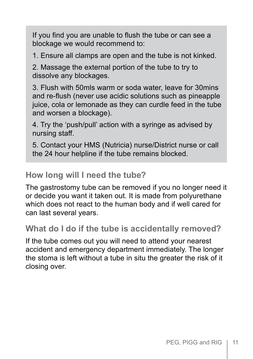If you find you are unable to flush the tube or can see a blockage we would recommend to:

1. Ensure all clamps are open and the tube is not kinked.

2. Massage the external portion of the tube to try to dissolve any blockages.

3. Flush with 50mls warm or soda water, leave for 30mins and re-flush (never use acidic solutions such as pineapple juice, cola or lemonade as they can curdle feed in the tube and worsen a blockage).

4. Try the 'push/pull' action with a syringe as advised by nursing staff.

5. Contact your HMS (Nutricia) nurse/District nurse or call the 24 hour helpline if the tube remains blocked.

### **How long will I need the tube?**

The gastrostomy tube can be removed if you no longer need it or decide you want it taken out. It is made from polyurethane which does not react to the human body and if well cared for can last several years.

### **What do I do if the tube is accidentally removed?**

If the tube comes out you will need to attend your nearest accident and emergency department immediately. The longer the stoma is left without a tube in situ the greater the risk of it closing over.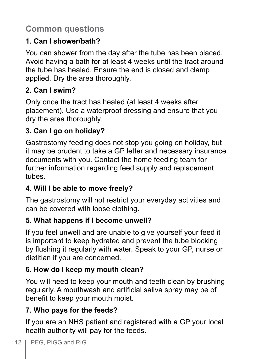# **Common questions**

## **1. Can I shower/bath?**

You can shower from the day after the tube has been placed. Avoid having a bath for at least 4 weeks until the tract around the tube has healed. Ensure the end is closed and clamp applied. Dry the area thoroughly.

# **2. Can I swim?**

Only once the tract has healed (at least 4 weeks after placement). Use a waterproof dressing and ensure that you dry the area thoroughly.

# **3. Can I go on holiday?**

Gastrostomy feeding does not stop you going on holiday, but it may be prudent to take a GP letter and necessary insurance documents with you. Contact the home feeding team for further information regarding feed supply and replacement tubes.

# **4. Will I be able to move freely?**

The gastrostomy will not restrict your everyday activities and can be covered with loose clothing.

## **5. What happens if I become unwell?**

If you feel unwell and are unable to give yourself your feed it is important to keep hydrated and prevent the tube blocking by flushing it regularly with water. Speak to your GP, nurse or dietitian if you are concerned.

# **6. How do I keep my mouth clean?**

You will need to keep your mouth and teeth clean by brushing regularly. A mouthwash and artificial saliva spray may be of benefit to keep your mouth moist.

# **7. Who pays for the feeds?**

If you are an NHS patient and registered with a GP your local health authority will pay for the feeds.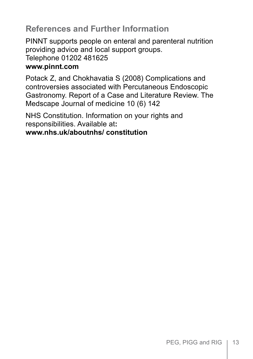## **References and Further Information**

PINNT supports people on enteral and parenteral nutrition providing advice and local support groups. Telephone 01202 481625 **www.pinnt.com**

Potack Z, and Chokhavatia S (2008) Complications and controversies associated with Percutaneous Endoscopic Gastronomy. Report of a Case and Literature Review. The Medscape Journal of medicine 10 (6) 142

NHS Constitution. Information on your rights and responsibilities. Available at**:**

#### **www.nhs.uk/aboutnhs/ constitution**